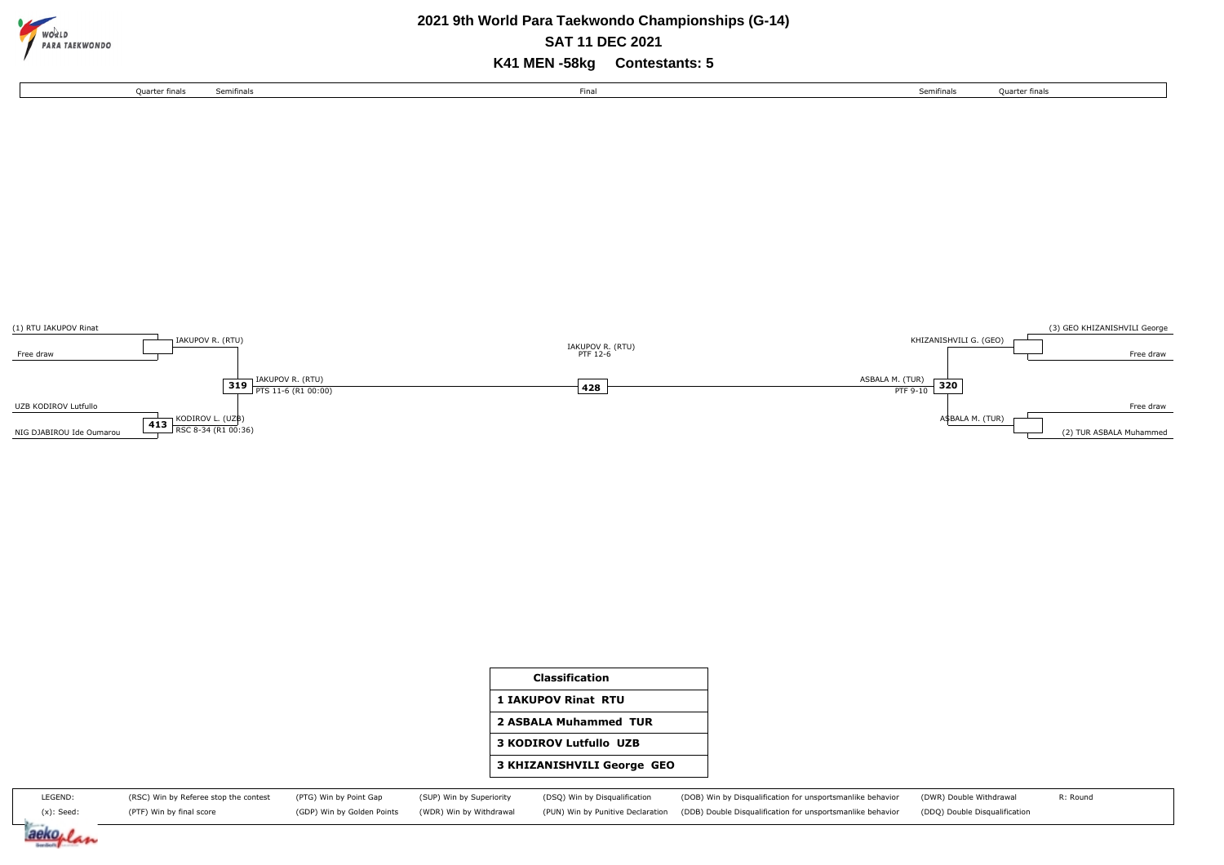

## **2021 9th World Para Taekwondo Championships (G-14) SAT 11 DEC 2021**

**K41 MEN -58kg Contestants: 5**





| <b>Classification</b>             |
|-----------------------------------|
| <b>1 IAKUPOV Rinat RTU</b>        |
| 2 ASBALA Muhammed TUR             |
| <b>3 KODIROV Lutfullo UZB</b>     |
| <b>3 KHIZANISHVILI George GEO</b> |
|                                   |

| LEGEND:       | (RSC) Win by Referee stop the contest (PTG) Win by Point Gap |                                                    |  | (SUP) Win by Superiority (DSQ) Win by Disqualification (DOB) Win by Disqualification for unsportsmanlike behavior (DWR) Double Withdrawal | R: Round |
|---------------|--------------------------------------------------------------|----------------------------------------------------|--|-------------------------------------------------------------------------------------------------------------------------------------------|----------|
| $(x)$ : Seed: | (PTF) Win by final score                                     | (GDP) Win by Golden Points (WDR) Win by Withdrawal |  | (PUN) Win by Punitive Declaration (DDB) Double Disqualification for unsportsmanlike behavior (DDQ) Double Disqualification                |          |

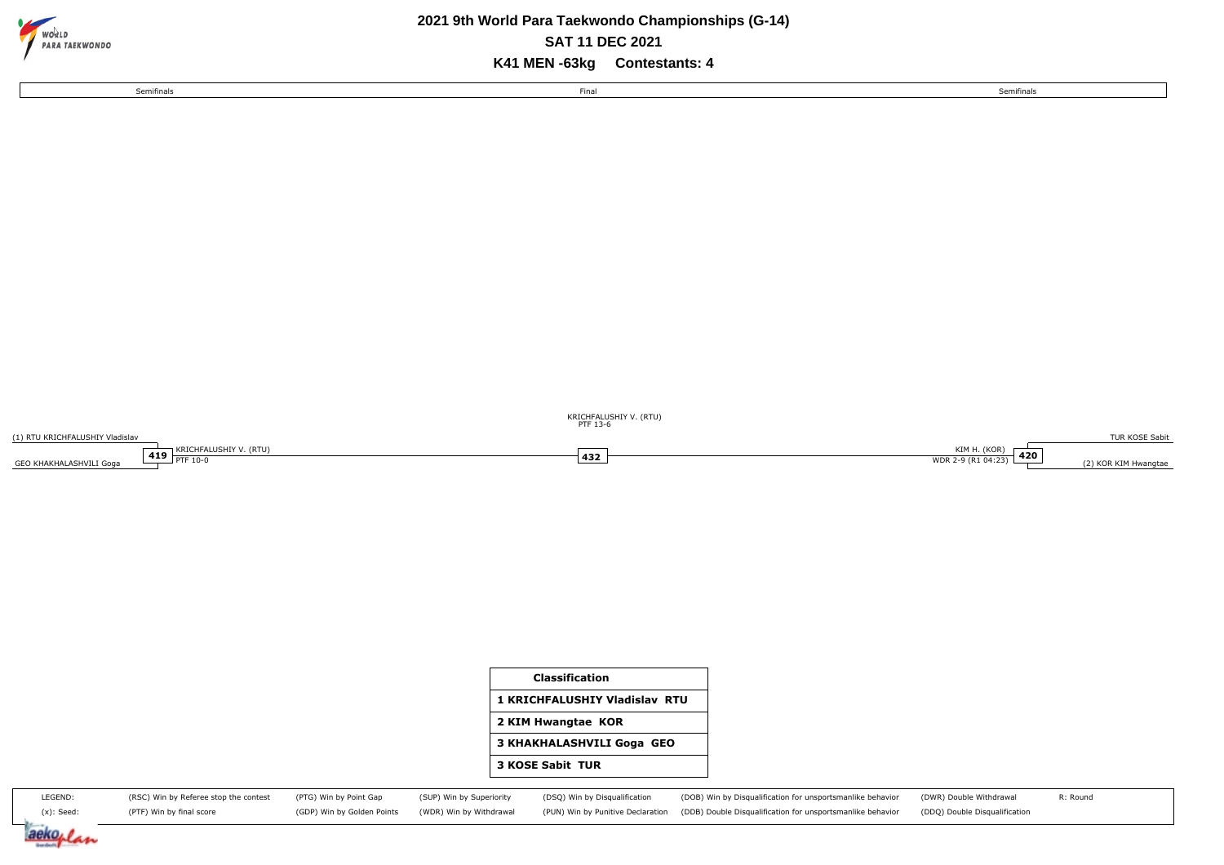

aeko<sub>l</sub>

Am

### **2021 9th World Para Taekwondo Championships (G-14) K41 MEN -63kg Contestants: 4 SAT 11 DEC 2021**

Semifinals Semifinals

Final

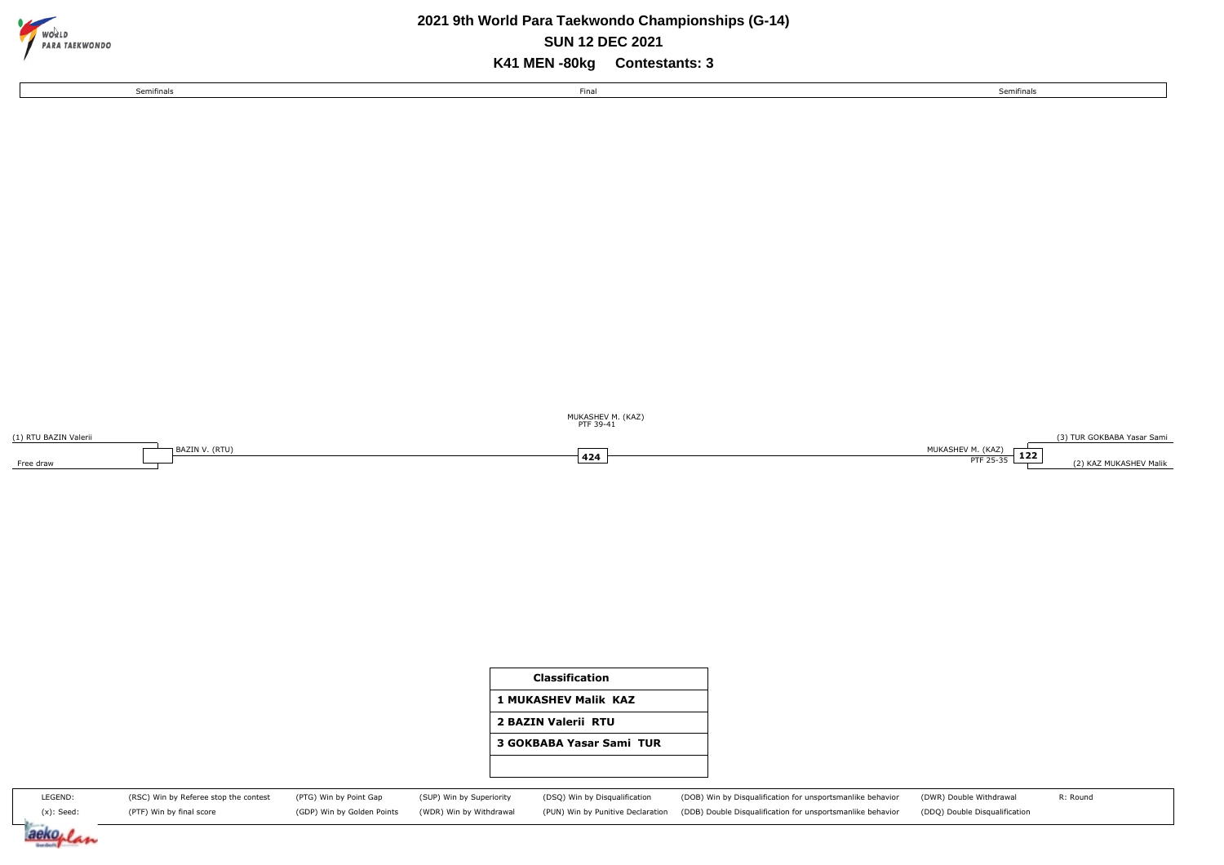

## **2021 9th World Para Taekwondo Championships (G-14) SUN 12 DEC 2021**

**K41 MEN -80kg Contestants: 3**

Final

Semifinals Semifinals

(1) RTU BAZIN Valerii Free draw BAZIN V. (RTU) (3) TUR GOKBABA Yasar Sami MUKASHEV M. (KAZ) **122** (2) KAZ MUKASHEV Malik **PTF 25-35** (2) KAZ MUKASHEV Malik **424 PTF** 25-35 PTF 39-41 MUKASHEV M. (KAZ)



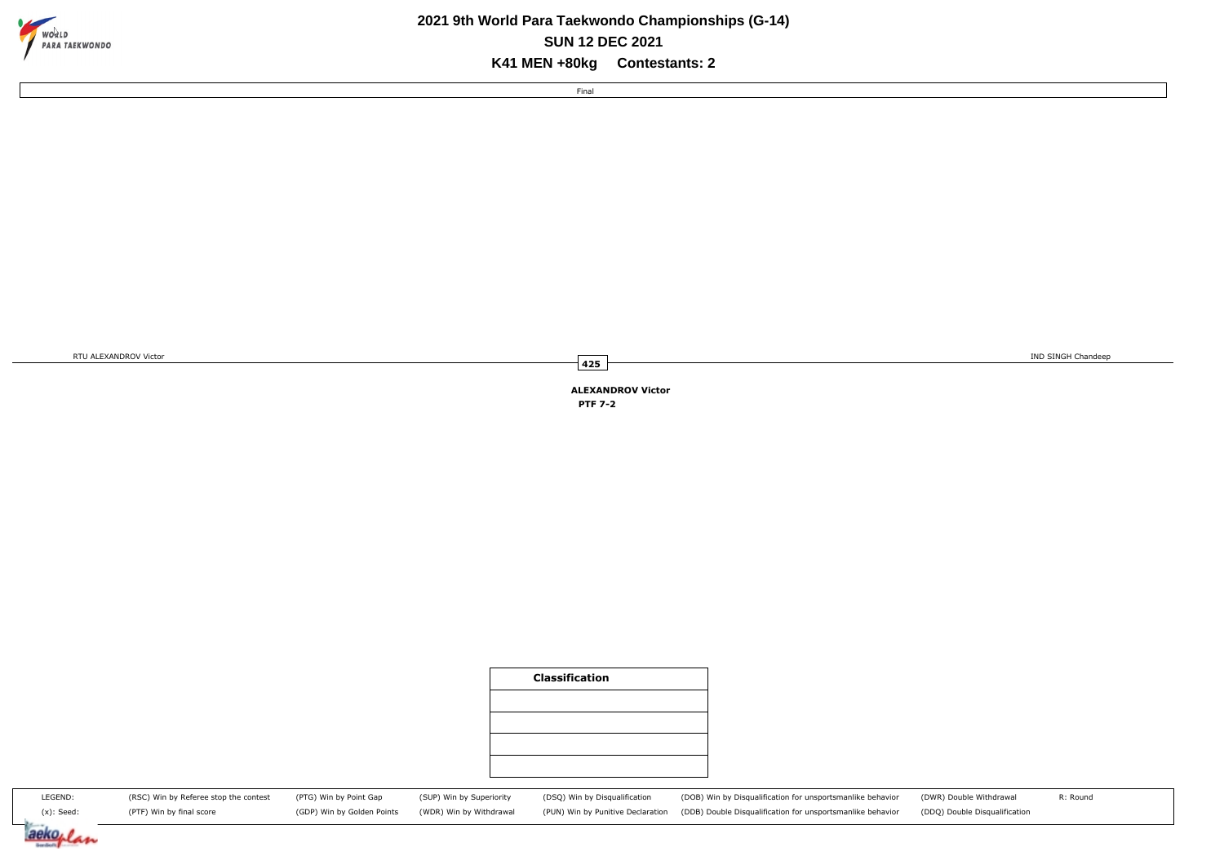

## **2021 9th World Para Taekwondo Championships (G-14) K41 MEN +80kg Contestants: 2 SUN 12 DEC 2021**

Final

RTU ALEXANDROV Victor **IND SINGH Chandeep** 

**ALEXANDROV Victor PTF 7-2**

**425**

|                          |                                                                   |                                                      |                                                     | <b>Classification</b>                                              |                                                                                                                          |                                                          |          |
|--------------------------|-------------------------------------------------------------------|------------------------------------------------------|-----------------------------------------------------|--------------------------------------------------------------------|--------------------------------------------------------------------------------------------------------------------------|----------------------------------------------------------|----------|
|                          |                                                                   |                                                      |                                                     |                                                                    |                                                                                                                          |                                                          |          |
|                          |                                                                   |                                                      |                                                     |                                                                    |                                                                                                                          |                                                          |          |
| LEGEND:<br>$(x)$ : Seed: | (RSC) Win by Referee stop the contest<br>(PTF) Win by final score | (PTG) Win by Point Gap<br>(GDP) Win by Golden Points | (SUP) Win by Superiority<br>(WDR) Win by Withdrawal | (DSQ) Win by Disqualification<br>(PUN) Win by Punitive Declaration | (DOB) Win by Disqualification for unsportsmanlike behavior<br>(DDB) Double Disqualification for unsportsmanlike behavior | (DWR) Double Withdrawal<br>(DDQ) Double Disqualification | R: Round |
| aeko <sub>r</sub>        |                                                                   |                                                      |                                                     |                                                                    |                                                                                                                          |                                                          |          |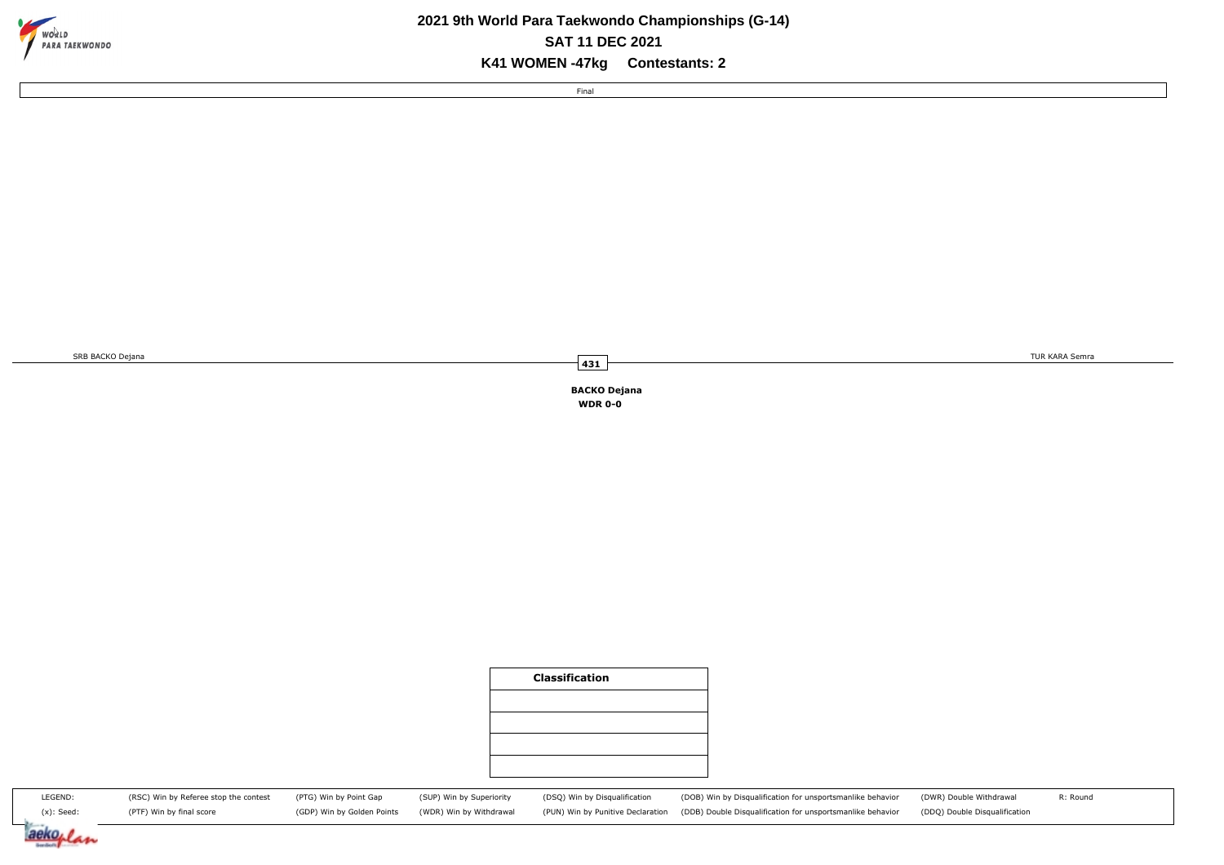

### **2021 9th World Para Taekwondo Championships (G-14) K41 WOMEN -47kg Contestants: 2 SAT 11 DEC 2021**

Final

SRB BACKO Dejana **TUR KARA Semra** TUR KARA Semra TUR KARA Semra TUR KARA Semra TUR KARA Semra TUR KARA Semra TUR KARA Semra TUR KARA Semra TUR KARA Semra TUR KARA Semra TUR KARA Semra TUR KARA Semra TUR KARA Semra TUR KARA

**BACKO Dejana WDR 0-0**

**431**

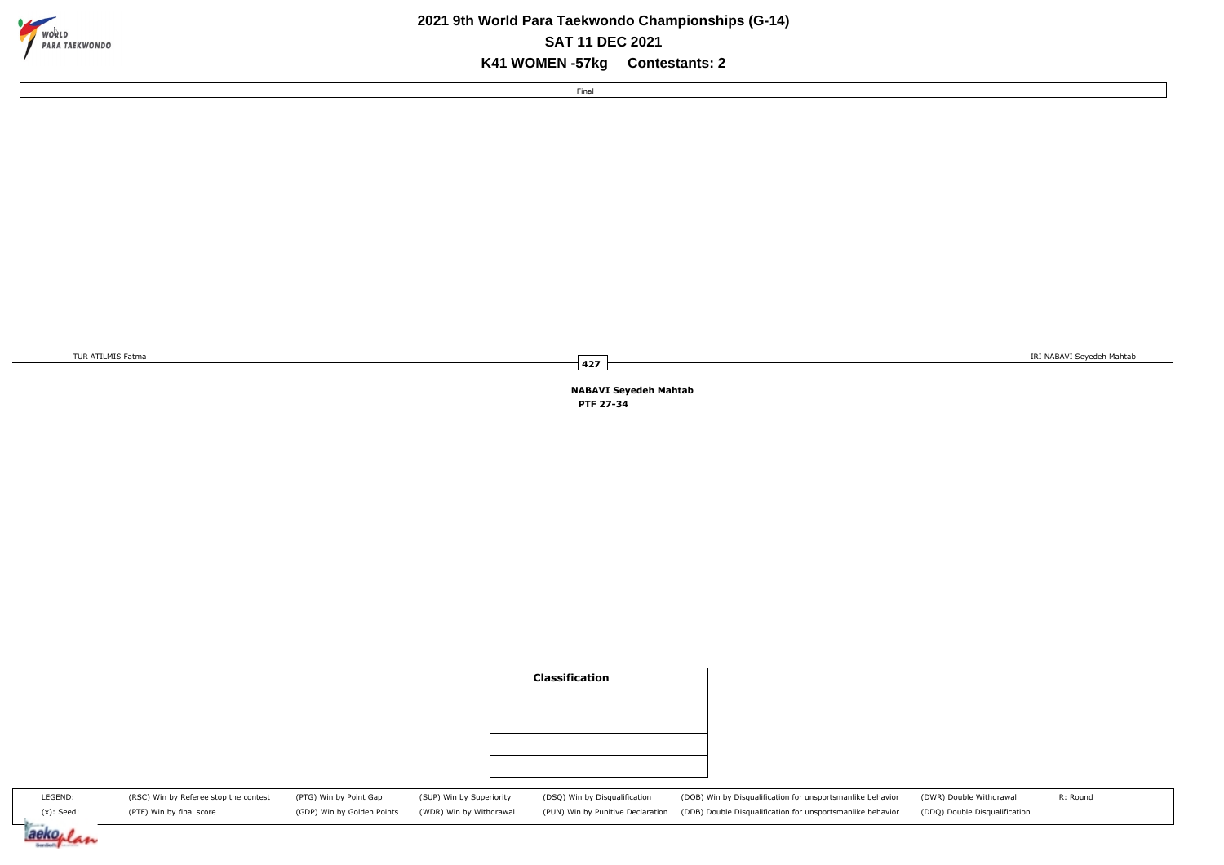

## **2021 9th World Para Taekwondo Championships (G-14) K41 WOMEN -57kg Contestants: 2 SAT 11 DEC 2021**

Final

TUR ATILMIS Fatma in the second matrix of the second matrix of the second matrix of the second matrix of the second matrix of the second matrix of the second matrix of the second matrix of the second matrix of the second m

R: Round

**NABAVI Seyedeh Mahtab PTF 27-34**

**427**

|                                                                   |                                                      |                                                     | <b>Classification</b>                                              |                                                                                                                          |                                                          |
|-------------------------------------------------------------------|------------------------------------------------------|-----------------------------------------------------|--------------------------------------------------------------------|--------------------------------------------------------------------------------------------------------------------------|----------------------------------------------------------|
|                                                                   |                                                      |                                                     |                                                                    |                                                                                                                          |                                                          |
|                                                                   |                                                      |                                                     |                                                                    |                                                                                                                          |                                                          |
|                                                                   |                                                      |                                                     |                                                                    |                                                                                                                          |                                                          |
| (RSC) Win by Referee stop the contest<br>(PTF) Win by final score | (PTG) Win by Point Gap<br>(GDP) Win by Golden Points | (SUP) Win by Superiority<br>(WDR) Win by Withdrawal | (DSQ) Win by Disqualification<br>(PUN) Win by Punitive Declaration | (DOB) Win by Disqualification for unsportsmanlike behavior<br>(DDB) Double Disqualification for unsportsmanlike behavior | (DWR) Double Withdrawal<br>(DDQ) Double Disqualification |

(x): Seed: aeko,  $41$ 

LEGEND: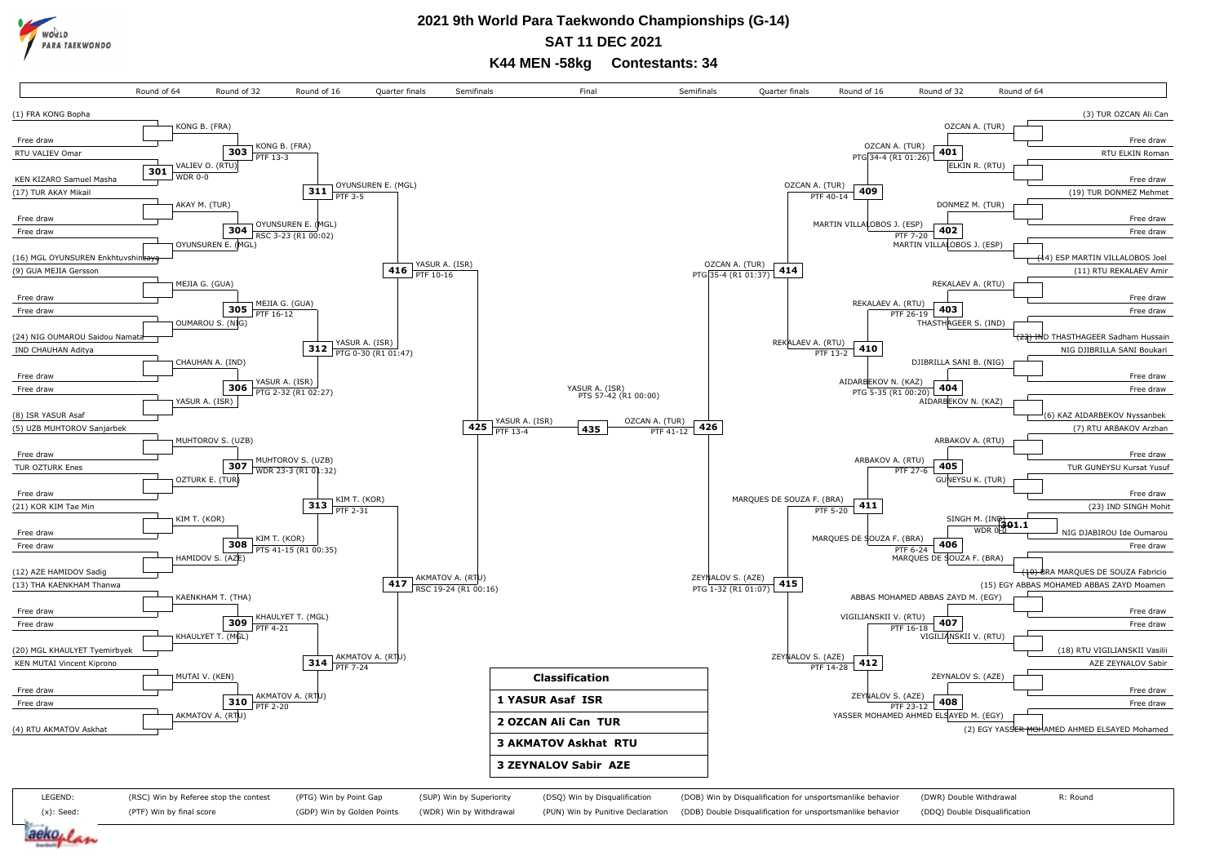

**SAT 11 DEC 2021**

**K44 MEN -58kg Contestants: 34**

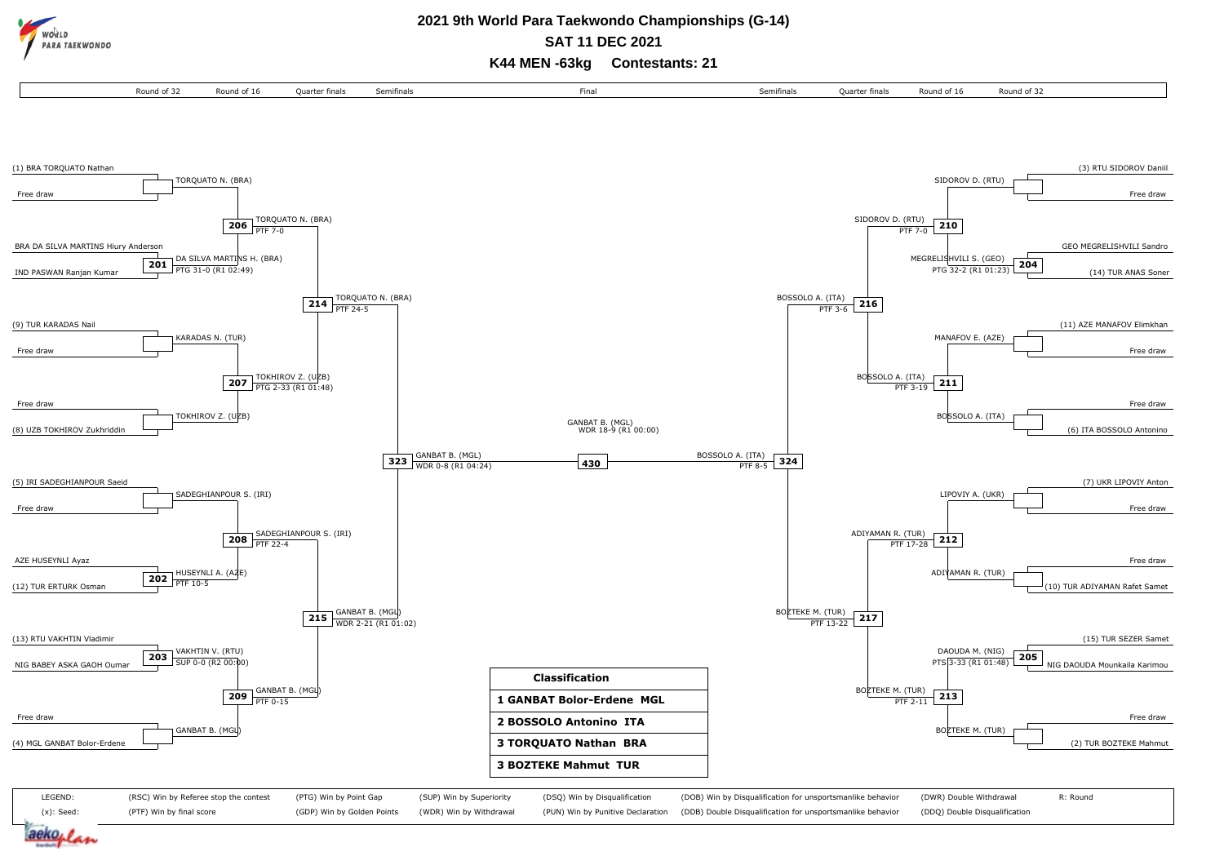**RA TAFKWONDO** 

#### **2021 9th World Para Taekwondo Championships (G-14) SAT 11 DEC 2021**

**K44 MEN -63kg Contestants: 21**

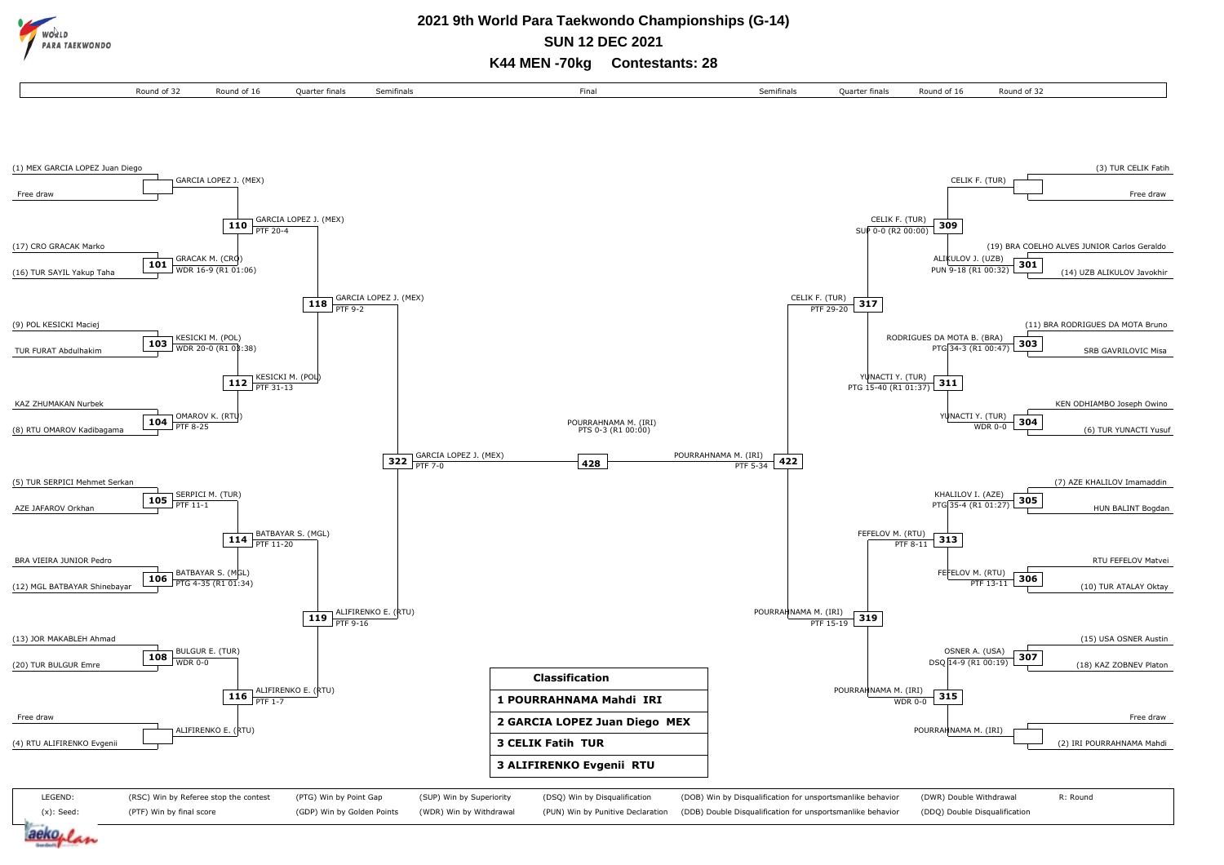**RA TAEKWONDO** 

#### **2021 9th World Para Taekwondo Championships (G-14) SUN 12 DEC 2021**

**K44 MEN -70kg Contestants: 28**

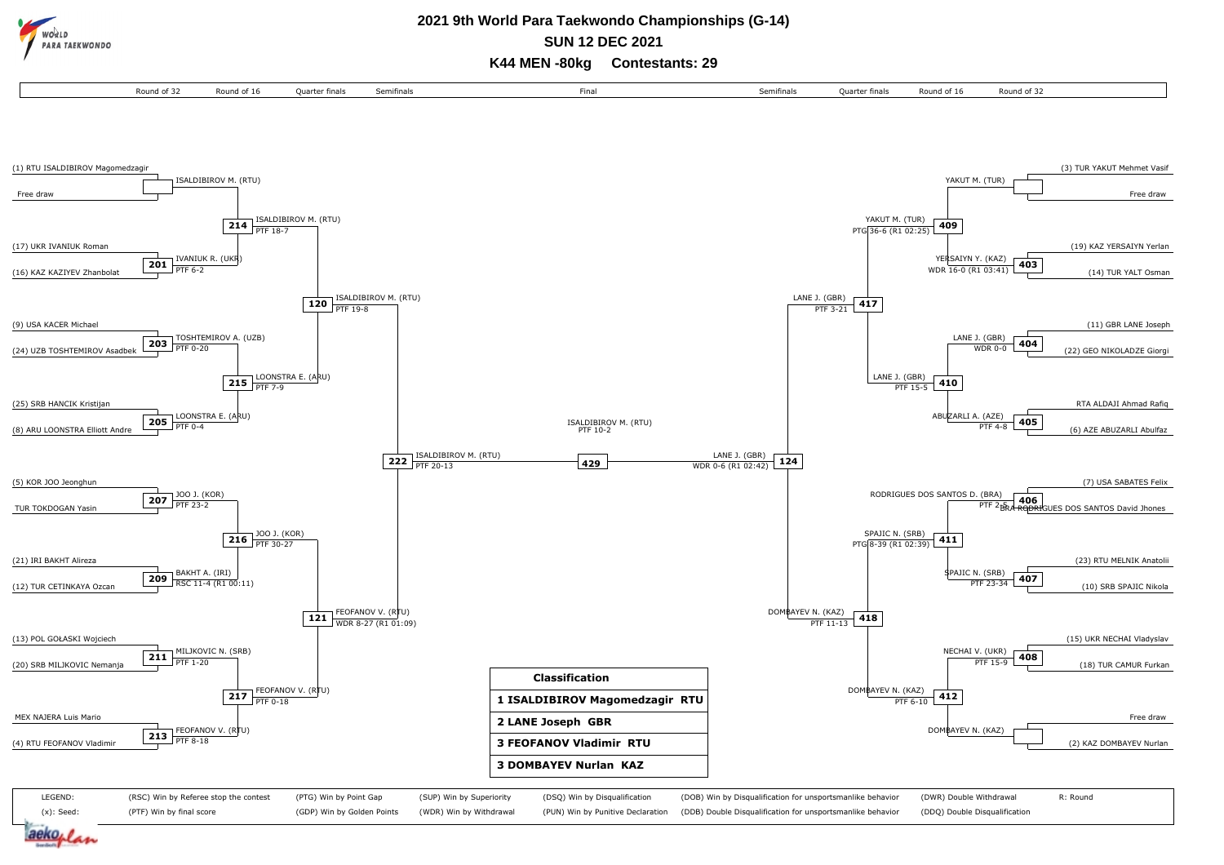**RA TAFKWONDO** 

# **2021 9th World Para Taekwondo Championships (G-14)**

**SUN 12 DEC 2021**

**K44 MEN -80kg Contestants: 29**

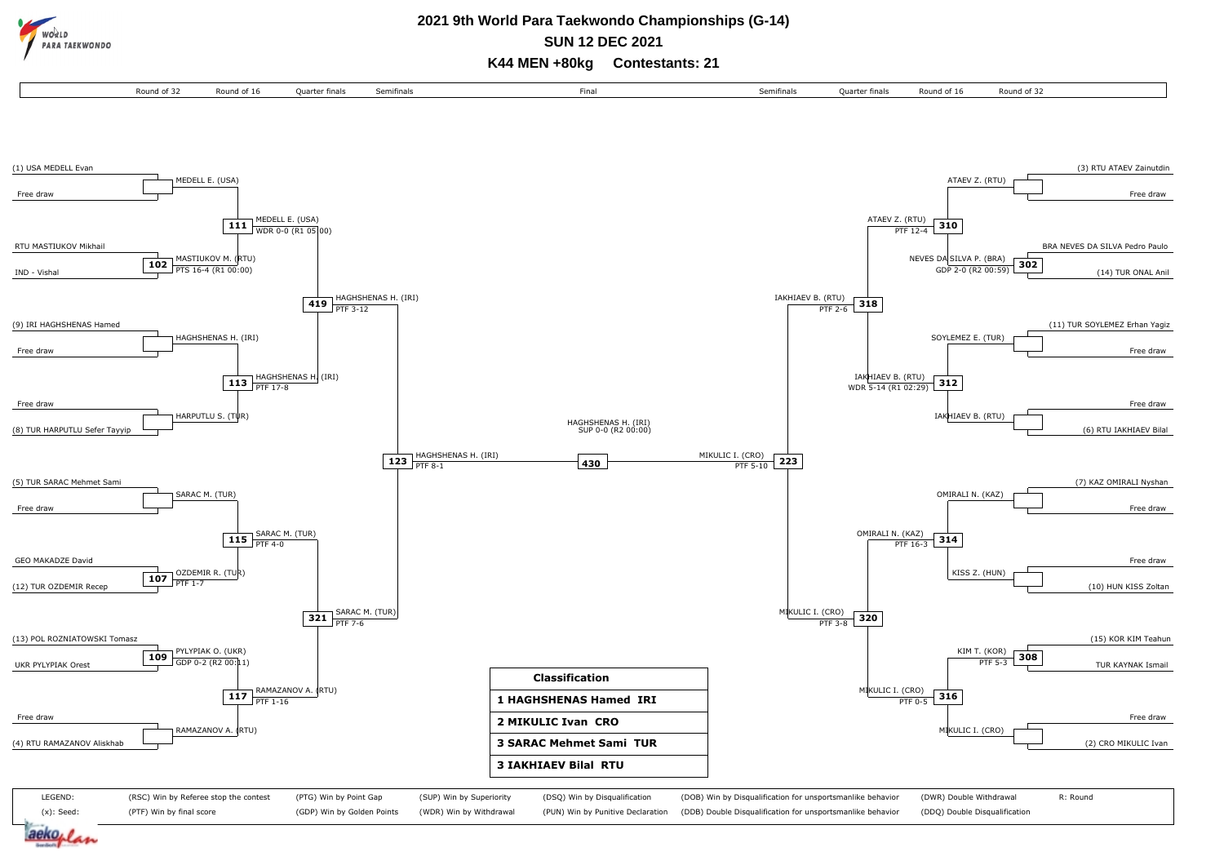**ARA TAEKWONDO** 

# **2021 9th World Para Taekwondo Championships (G-14)**

**SUN 12 DEC 2021**

**K44 MEN +80kg Contestants: 21**

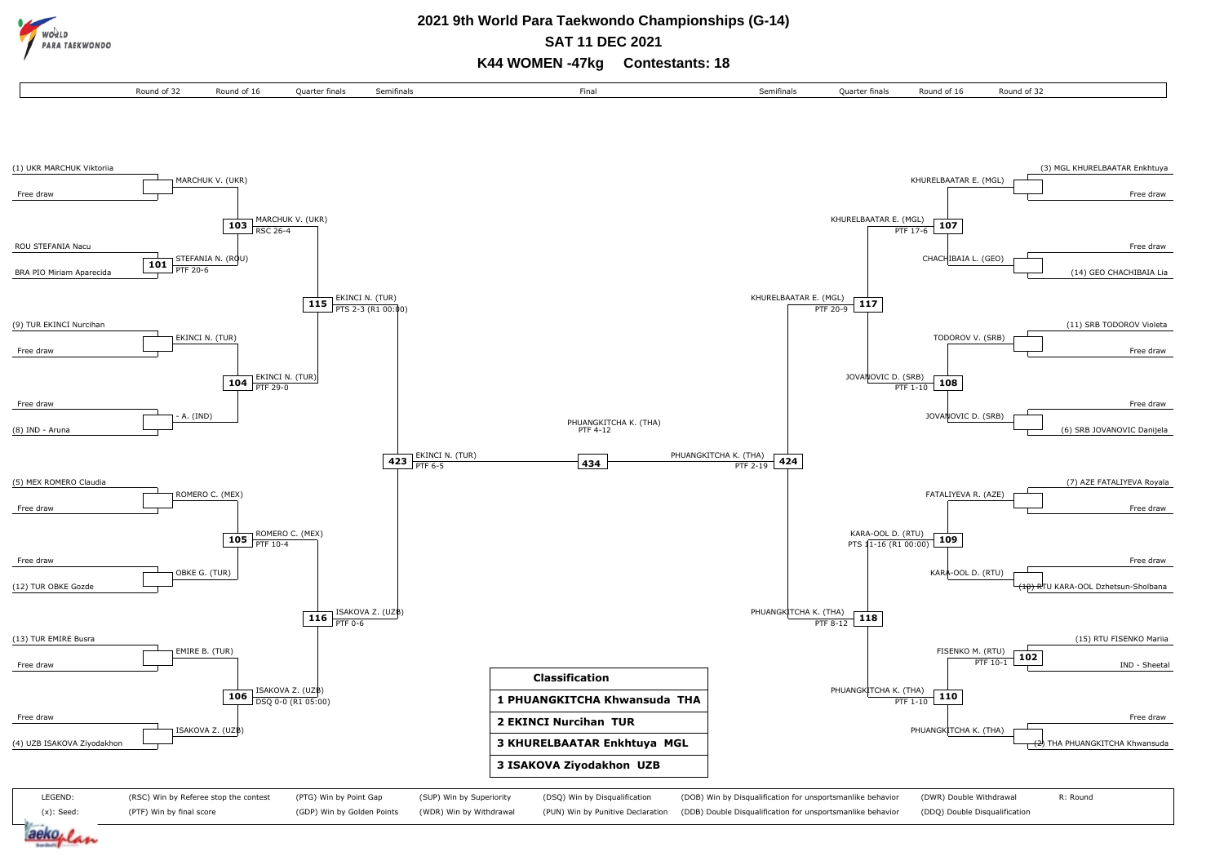

LEGEND: (x): Seed:

aeko,

(RSC) Win by Referee stop the contest

(PTG) Win by Point Gap (GDP) Win by Golden Points (SUP) Win by Superiority (WDR) Win by Withdrawal

(PTF) Win by final score

# **SAT 11 DEC 2021**

**K44 WOMEN -47kg Contestants: 18**



(DSQ) Win by Disqualification (PUN) Win by Punitive Declaration

(DOB) Win by Disqualification for unsportsmanlike behavior (DDB) Double Disqualification for unsportsmanlike behavior (DWR) Double Withdrawal (DDQ) Double Disqualification R: Round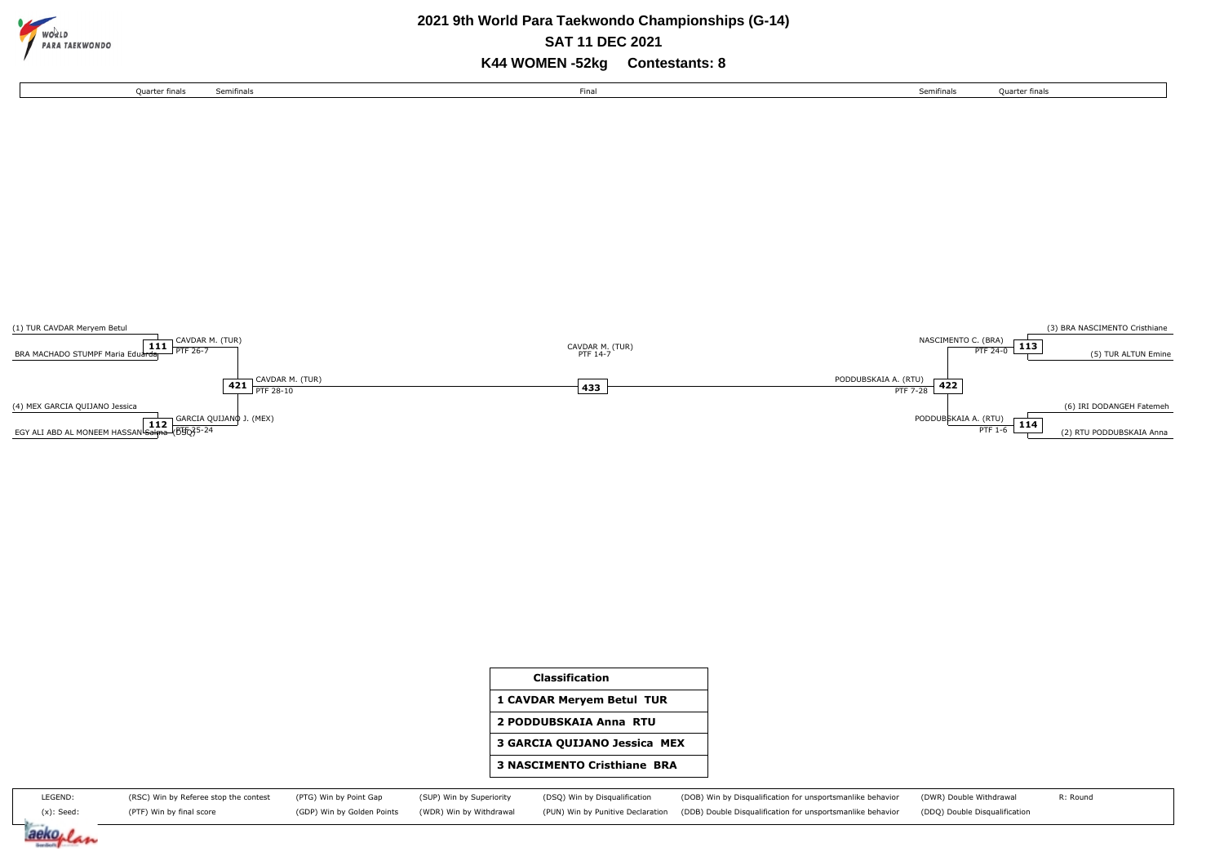

## **2021 9th World Para Taekwondo Championships (G-14) SAT 11 DEC 2021**

**K44 WOMEN -52kg Contestants: 8**





| <b>Classification</b>              |
|------------------------------------|
| 1 CAVDAR Meryem Betul TUR          |
| 2 PODDUBSKAIA Anna RTU             |
| 3 GARCIA QUIJANO Jessica MEX       |
| <b>3 NASCIMENTO Cristhiane BRA</b> |
|                                    |

| LEGEND:    | (RSC) Win by Referee stop the contest (PTG) Win by Point Gap |  | (SUP) Win by Superiority (DSQ) Win by Disqualification | (DOB) Win by Disqualification for unsportsmanlike behavior (DWR) Double Withdrawal                                                                                            | R: Round |
|------------|--------------------------------------------------------------|--|--------------------------------------------------------|-------------------------------------------------------------------------------------------------------------------------------------------------------------------------------|----------|
| (x): Seed: | (PTF) Win by final score                                     |  |                                                        | (GDP) Win by Golden Points (WDR) Win by Withdrawal (PUN) Win by Punitive Declaration (DDB) Double Disqualification for unsportsmanlike behavior (DDQ) Double Disqualification |          |

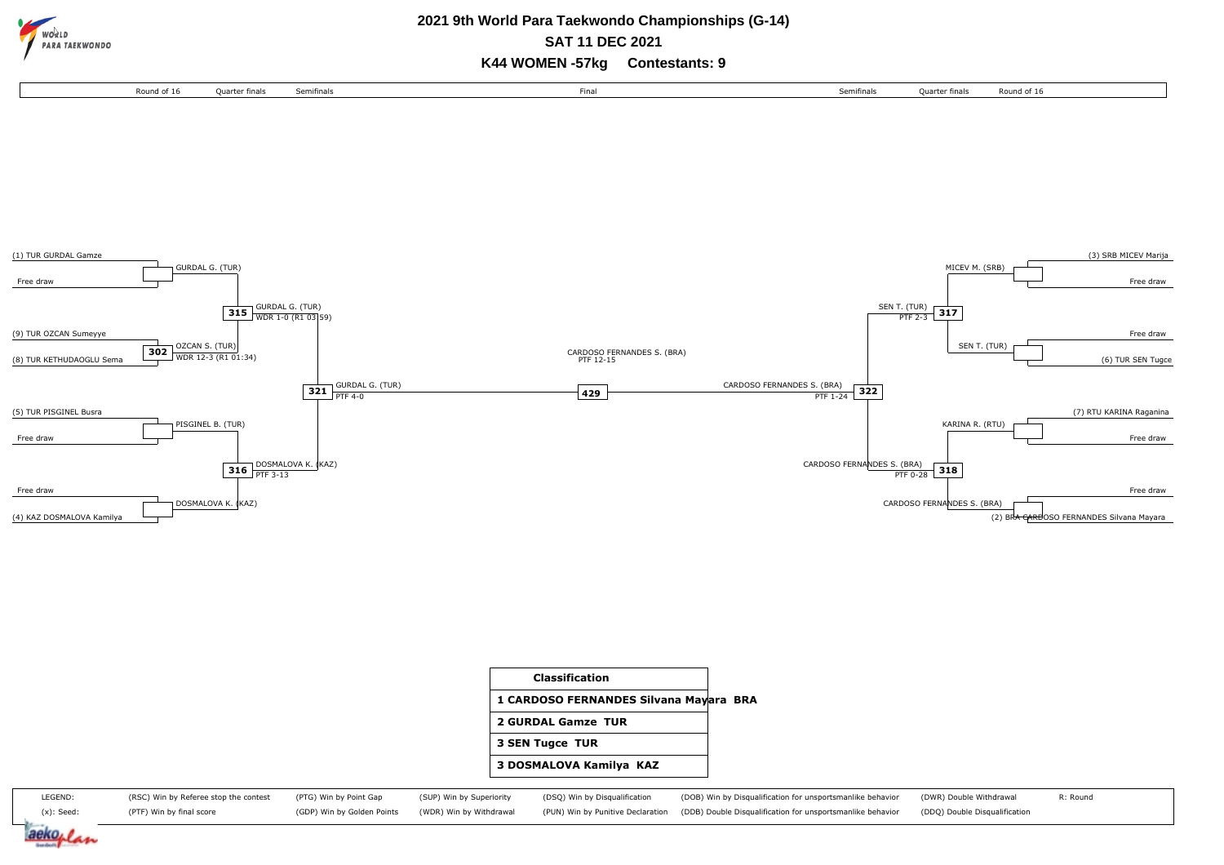

#### **2021 9th World Para Taekwondo Championships (G-14) SAT 11 DEC 2021**

**K44 WOMEN -57kg Contestants: 9**







LEGEND: (x): Seed: (RSC) Win by Referee stop the contest (PTF) Win by final score (PTG) Win by Point Gap (GDP) Win by Golden Points (SUP) Win by Superiority (WDR) Win by Withdrawal (DSQ) Win by Disqualification (PUN) Win by Punitive Declaration (DOB) Win by Disqualification for unsportsmanlike behavior (DDB) Double Disqualification for unsportsmanlike behavior (DWR) Double Withdrawal (DDQ) Double Disqualification R: Round

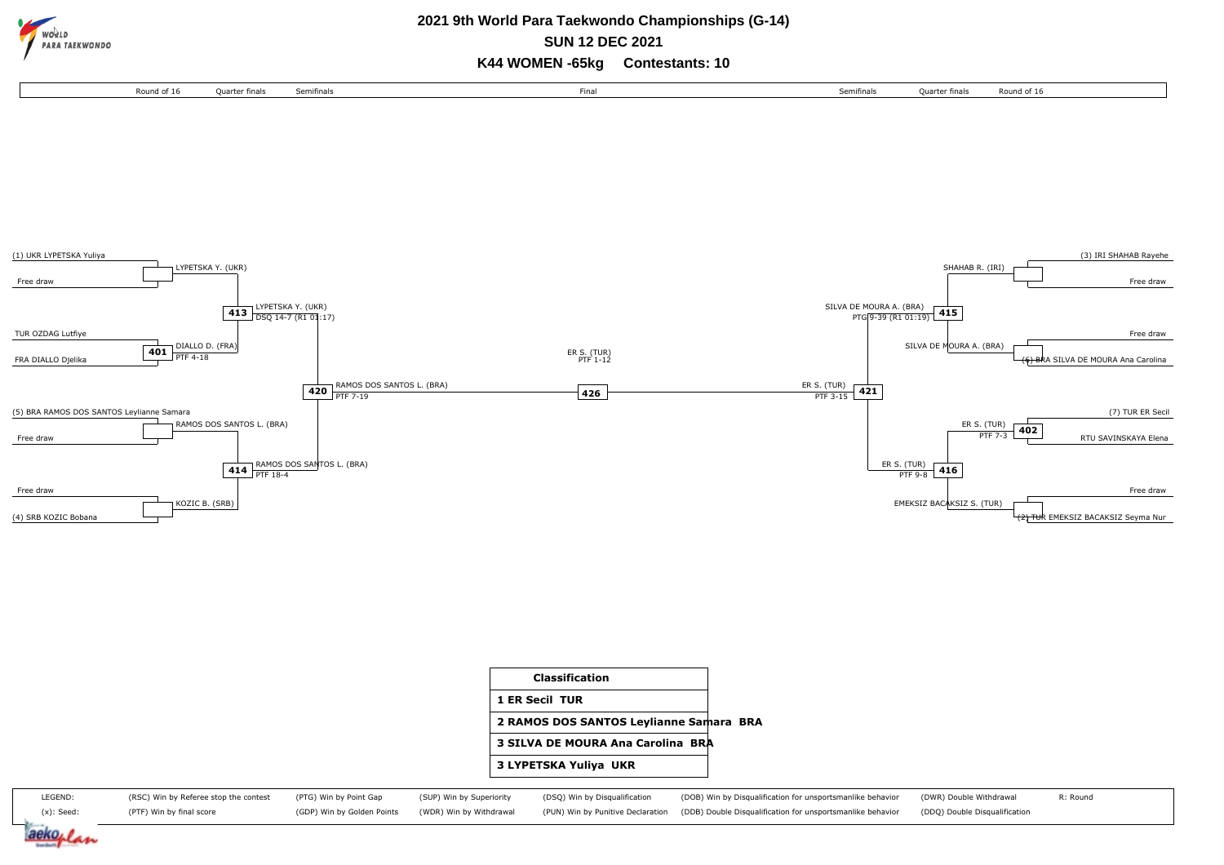

**SUN 12 DEC 2021**

**K44 WOMEN -65kg Contestants: 10**







LEGEND: (x): Seed: (RSC) Win by Referee stop the contest (PTF) Win by final score (PTG) Win by Point Gap (GDP) Win by Golden Points (SUP) Win by Superiority (WDR) Win by Withdrawal (DSQ) Win by Disqualification (PUN) Win by Punitive Declaration (DOB) Win by Disqualification for unsportsmanlike behavior (DDB) Double Disqualification for unsportsmanlike behavior (DWR) Double Withdrawal (DDQ) Double Disqualification R: Round